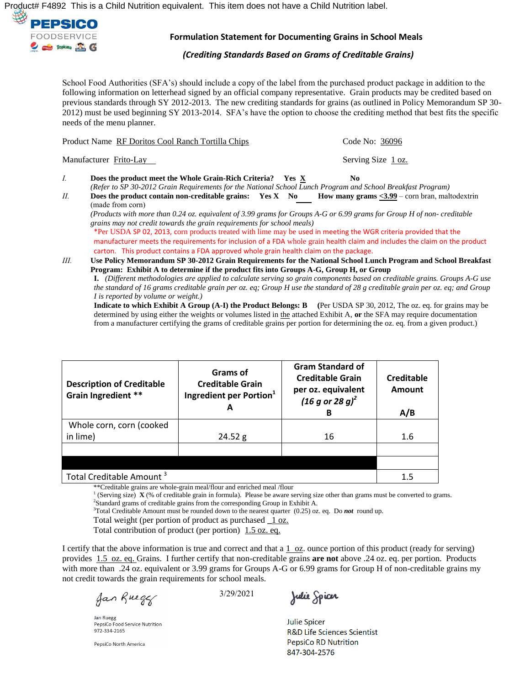Ú¦[åǐ&ÀÁØIÌJGÁÁV@àÁãÁæÁÔ@ãåÁÞˇdãã[}Á<sup>s</sup>ˇãçæ{^}dĚÁV@àÁæ^{Áã[^•Á,[oÁ@æç^ÁæÁÔ@ãåÁÞˇdãã[}Áæà^|È



## **Formulation Statement for Documenting Grains in School Meals**

*(Crediting Standards Based on Grams of Creditable Grains)* 

School Food Authorities (SFA's) should include a copy of the label from the purchased product package in addition to the following information on letterhead signed by an official company representative. Grain products may be credited based on previous standards through SY 2012-2013. The new crediting standards for grains (as outlined in Policy Memorandum SP 30- 2012) must be used beginning SY 2013-2014. SFA's have the option to choose the crediting method that best fits the specific needs of the menu planner.

|             | Product Name RF Doritos Cool Ranch Tortilla Chips                                                                                                                                                                                                                                                                                      | Code No: 36096                                                                                                 |  |
|-------------|----------------------------------------------------------------------------------------------------------------------------------------------------------------------------------------------------------------------------------------------------------------------------------------------------------------------------------------|----------------------------------------------------------------------------------------------------------------|--|
|             | Manufacturer Frito-Lay                                                                                                                                                                                                                                                                                                                 | Serving Size 1 oz.                                                                                             |  |
| $I_{\cdot}$ | Does the product meet the Whole Grain-Rich Criteria?<br>(Refer to SP 30-2012 Grain Requirements for the National School Lunch Program and School Breakfast Program)                                                                                                                                                                    | No.<br>Yes X                                                                                                   |  |
| П.          | Does the product contain non-creditable grains: $Yes X No$<br>(made from corn)<br>(Products with more than 0.24 oz. equivalent of 3.99 grams for Groups A-G or 6.99 grams for Group H of non-creditable<br>grains may not credit towards the grain requirements for school meals)                                                      | How many grams $<$ 3.99 – corn bran, maltodextrin                                                              |  |
|             | *Per USDA SP 02, 2013, corn products treated with lime may be used in meeting the WGR criteria provided that the<br>manufacturer meets the requirements for inclusion of a FDA whole grain health claim and includes the claim on the product<br>carton. This product contains a FDA approved whole grain health claim on the package. |                                                                                                                |  |
| III.        |                                                                                                                                                                                                                                                                                                                                        | Use Policy Memorandum SP 30-2012 Grain Requirements for the National School Lunch Program and School Breakfast |  |

**Program: Exhibit A to determine if the product fits into Groups A-G, Group H, or Group I.** *(Different methodologies are applied to calculate serving so grain components based on creditable grains. Groups A-G use the standard of 16 grams creditable grain per oz. eq; Group H use the standard of 28 g creditable grain per oz. eq; and Group I is reported by volume or weight.)*

**Indicate to which Exhibit A Group (A-I) the Product Belongs: B (**Per USDA SP 30, 2012, The oz. eq. for grains may be determined by using either the weights or volumes listed in the attached Exhibit A, **or** the SFA may require documentation from a manufacturer certifying the grams of creditable grains per portion for determining the oz. eq. from a given product.)

| <b>Description of Creditable</b><br>Grain Ingredient ** | Grams of<br><b>Creditable Grain</b><br>Ingredient per Portion <sup>1</sup>         | <b>Gram Standard of</b><br><b>Creditable Grain</b><br>per oz. equivalent<br>$(16 g or 28 g)^2$<br>в | Creditable<br><b>Amount</b><br>A/B |
|---------------------------------------------------------|------------------------------------------------------------------------------------|-----------------------------------------------------------------------------------------------------|------------------------------------|
| Whole corn, corn (cooked                                |                                                                                    |                                                                                                     |                                    |
| in lime)                                                | 24.52 g                                                                            | 16                                                                                                  | 1.6                                |
|                                                         |                                                                                    |                                                                                                     |                                    |
|                                                         |                                                                                    |                                                                                                     |                                    |
| Total Creditable Amount <sup>3</sup><br>$\mathbf{1}$    | $\sim$ $\sim$<br>1/1<br>$\mathbf{1}$ $\mathbf{1}$ $\mathbf{1}$ $\mathbf{1}$<br>1/2 |                                                                                                     | 1.5                                |

\*\*Creditable grains are whole-grain meal/flour and enriched meal /flour

<sup>1</sup> (Serving size)  $\mathbf{X}$  (% of creditable grain in formula). Please be aware serving size other than grams must be converted to grams. <sup>2</sup>Standard grams of creditable grains from the corresponding Group in Exhibit A.

<sup>3</sup>Total Creditable Amount must be rounded down to the nearest quarter (0.25) oz. eq. Do *not* round up.

Total weight (per portion of product as purchased **\_**1 oz.

Total contribution of product (per portion) 1.5 oz. eq.

I certify that the above information is true and correct and that a  $1$  oz. ounce portion of this product (ready for serving) provides 1.5 oz. eq. Grains. I further certify that non-creditable grains **are not** above .24 oz. eq. per portion. Products with more than .24 oz. equivalent or 3.99 grams for Groups A-G or 6.99 grams for Group H of non-creditable grains my not credit towards the grain requirements for school meals.

Jan Rueger

**Jan Ruegg** PepsiCo Food Service Nutrition 972-334-2165

PepsiCo North America

3/29/2021

Julie Spicer

**Julie Spicer R&D Life Sciences Scientist PepsiCo RD Nutrition** 847-304-2576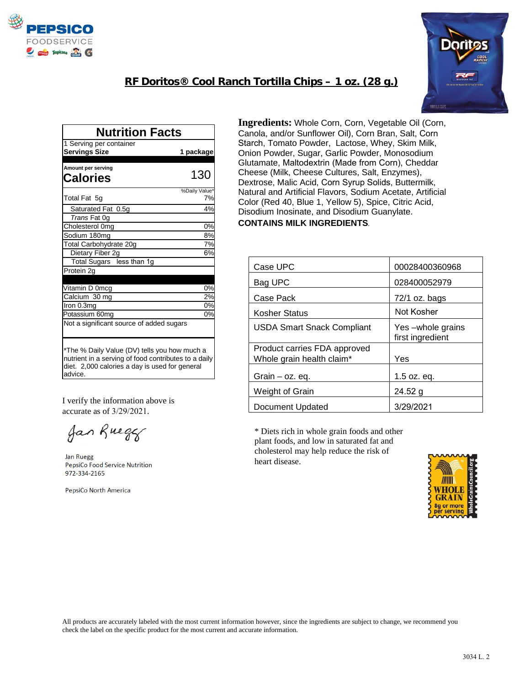

## **RF Doritos® Cool Ranch Tortilla Chips – 1 oz. (28 g.)**



| <b>Nutrition Facts</b>                                                                                                                                            |               |  |
|-------------------------------------------------------------------------------------------------------------------------------------------------------------------|---------------|--|
| 1 Serving per container                                                                                                                                           |               |  |
| <b>Servings Size</b>                                                                                                                                              | 1 package     |  |
|                                                                                                                                                                   |               |  |
| Amount per serving                                                                                                                                                |               |  |
| Calories                                                                                                                                                          | 130           |  |
|                                                                                                                                                                   | %Daily Value* |  |
| Total Fat 5g                                                                                                                                                      | 7%            |  |
| Saturated Fat 0.5g                                                                                                                                                | 4%            |  |
| Trans Fat 0g                                                                                                                                                      |               |  |
| Cholesterol 0mg                                                                                                                                                   | 0%            |  |
| Sodium 180mg                                                                                                                                                      | 8%            |  |
| Total Carbohydrate 20g                                                                                                                                            | 7%            |  |
| Dietary Fiber 2g                                                                                                                                                  | 6%            |  |
| Total Sugars less than 1g                                                                                                                                         |               |  |
| Protein 2g                                                                                                                                                        |               |  |
|                                                                                                                                                                   |               |  |
| Vitamin D 0mcg                                                                                                                                                    | 0%            |  |
| Calcium 30 mg                                                                                                                                                     | 2%            |  |
| Iron 0.3mg                                                                                                                                                        | 0%            |  |
| Potassium 60mg                                                                                                                                                    | 0%            |  |
| Not a significant source of added sugars                                                                                                                          |               |  |
| *The % Daily Value (DV) tells you how much a<br>nutrient in a serving of food contributes to a daily<br>diet. 2,000 calories a day is used for general<br>advice. |               |  |

I verify the information above is accurate as of 3/29/2021.

Jan Rueger

**Jan Ruegg** PepsiCo Food Service Nutrition 972-334-2165

PepsiCo North America

**Ingredients:** Whole Corn, Corn, Vegetable Oil (Corn, Canola, and/or Sunflower Oil), Corn Bran, Salt, Corn Starch, Tomato Powder, Lactose, Whey, Skim Milk, Onion Powder, Sugar, Garlic Powder, Monosodium Glutamate, Maltodextrin (Made from Corn), Cheddar Cheese (Milk, Cheese Cultures, Salt, Enzymes), Dextrose, Malic Acid, Corn Syrup Solids, Buttermilk, Natural and Artificial Flavors, Sodium Acetate, Artificial Color (Red 40, Blue 1, Yellow 5), Spice, Citric Acid, Disodium Inosinate, and Disodium Guanylate. **CONTAINS MILK INGREDIENTS**.

| Case UPC                                                  | 00028400360968                       |
|-----------------------------------------------------------|--------------------------------------|
| Bag UPC                                                   | 028400052979                         |
| Case Pack                                                 | 72/1 oz. bags                        |
| Kosher Status                                             | Not Kosher                           |
| <b>USDA Smart Snack Compliant</b>                         | Yes-whole grains<br>first ingredient |
| Product carries FDA approved<br>Whole grain health claim* | Yes                                  |
| Grain $-$ oz. eq.                                         | $1.5$ oz. eq.                        |
| Weight of Grain                                           | 24.52g                               |
| Document Updated                                          | 3/29/2021                            |

\* Diets rich in whole grain foods and other plant foods, and low in saturated fat and cholesterol may help reduce the risk of heart disease.



All products are accurately labeled with the most current information however, since the ingredients are subject to change, we recommend you check the label on the specific product for the most current and accurate information.